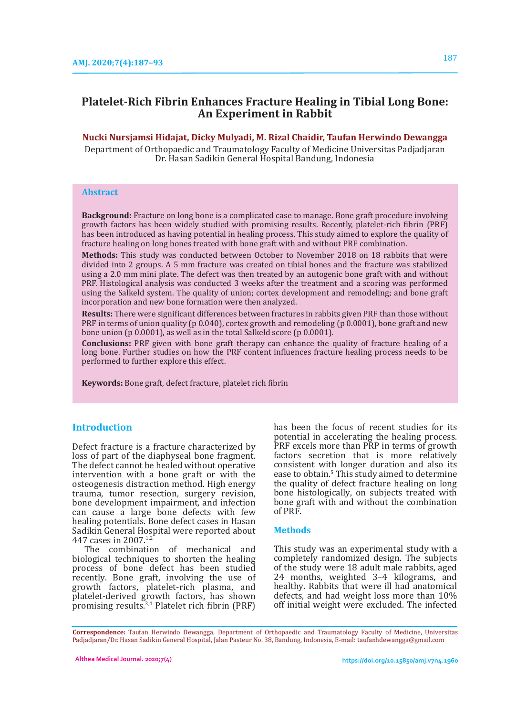# **Platelet-Rich Fibrin Enhances Fracture Healing in Tibial Long Bone: An Experiment in Rabbit**

### **Nucki Nursjamsi Hidajat, Dicky Mulyadi, M. Rizal Chaidir, Taufan Herwindo Dewangga**

Department of Orthopaedic and Traumatology Faculty of Medicine Universitas Padjadjaran Dr. Hasan Sadikin General Hospital Bandung, Indonesia

### **Abstract**

**Background:** Fracture on long bone is a complicated case to manage. Bone graft procedure involving growth factors has been widely studied with promising results. Recently, platelet-rich fibrin (PRF) has been introduced as having potential in healing process. This study aimed to explore the quality of fracture healing on long bones treated with bone graft with and without PRF combination.

**Methods:** This study was conducted between October to November 2018 on 18 rabbits that were divided into 2 groups. A 5 mm fracture was created on tibial bones and the fracture was stabilized using a 2.0 mm mini plate. The defect was then treated by an autogenic bone graft with and without PRF. Histological analysis was conducted 3 weeks after the treatment and a scoring was performed using the Salkeld system. The quality of union; cortex development and remodeling; and bone graft incorporation and new bone formation were then analyzed.

**Results:** There were significant differences between fractures in rabbits given PRF than those without PRF in terms of union quality (p 0.040), cortex growth and remodeling (p 0.0001), bone graft and new bone union (p 0.0001), as well as in the total Salkeld score (p 0.0001).

**Conclusions:** PRF given with bone graft therapy can enhance the quality of fracture healing of a long bone. Further studies on how the PRF content influences fracture healing process needs to be performed to further explore this effect.

**Keywords:** Bone graft, defect fracture, platelet rich fibrin

# **Introduction**

Defect fracture is a fracture characterized by loss of part of the diaphyseal bone fragment. The defect cannot be healed without operative intervention with a bone graft or with the osteogenesis distraction method. High energy trauma, tumor resection, surgery revision, bone development impairment, and infection can cause a large bone defects with few healing potentials. Bone defect cases in Hasan Sadikin General Hospital were reported about 447 cases in 2007.1,2

The combination of mechanical and biological techniques to shorten the healing process of bone defect has been studied recently. Bone graft, involving the use of growth factors, platelet-rich plasma, and platelet-derived growth factors, has shown promising results.3,4 Platelet rich fibrin (PRF) has been the focus of recent studies for its potential in accelerating the healing process. PRF excels more than PRP in terms of growth factors secretion that is more relatively consistent with longer duration and also its ease to obtain.<sup>5</sup> This study aimed to determine the quality of defect fracture healing on long bone histologically, on subjects treated with bone graft with and without the combination of PRF.

#### **Methods**

This study was an experimental study with a completely randomized design. The subjects of the study were 18 adult male rabbits, aged 24 months, weighted 3–4 kilograms, and healthy. Rabbits that were ill had anatomical defects, and had weight loss more than 10% off initial weight were excluded. The infected

**Correspondence:** Taufan Herwindo Dewangga, Department of Orthopaedic and Traumatology Faculty of Medicine, Universitas Padjadjaran/Dr. Hasan Sadikin General Hospital, Jalan Pasteur No. 38, Bandung, Indonesia, E-mail: taufanhdewangga@gmail.com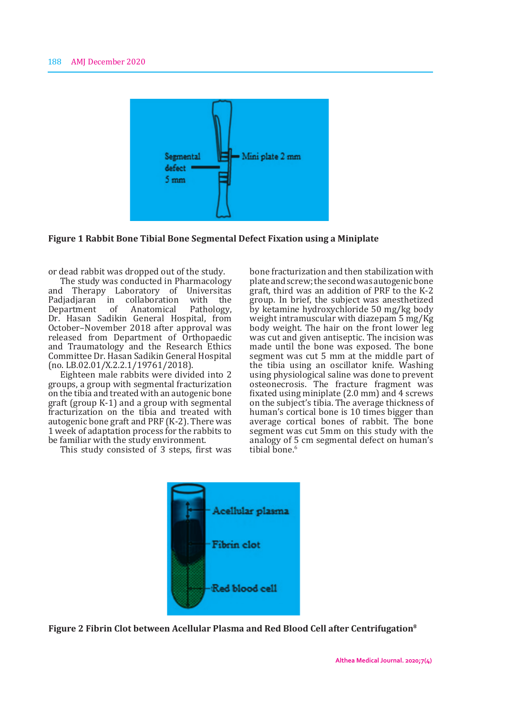

**Figure 1 Rabbit Bone Tibial Bone Segmental Defect Fixation using a Miniplate**

or dead rabbit was dropped out of the study.

The study was conducted in Pharmacology and Therapy Laboratory of Universitas Padjadjaran in collaboration with the<br>Department of Anatomical Pathology, Department of Anatomical Pathology, Dr. Hasan Sadikin General Hospital, from October–November 2018 after approval was released from Department of Orthopaedic and Traumatology and the Research Ethics Committee Dr. Hasan Sadikin General Hospital (no. LB.02.01/X.2.2.1/19761/2018).

Eighteen male rabbits were divided into 2 groups, a group with segmental fracturization on the tibia and treated with an autogenic bone graft (group K-1) and a group with segmental fracturization on the tibia and treated with autogenic bone graft and PRF (K-2). There was 1 week of adaptation process for the rabbits to be familiar with the study environment.

This study consisted of 3 steps, first was

bone fracturization and then stabilization with plate and screw; the second was autogenic bone graft, third was an addition of PRF to the K-2 group. In brief, the subject was anesthetized by ketamine hydroxychloride 50 mg/kg body weight intramuscular with diazepam 5 mg/Kg body weight. The hair on the front lower leg was cut and given antiseptic. The incision was made until the bone was exposed. The bone segment was cut 5 mm at the middle part of the tibia using an oscillator knife. Washing using physiological saline was done to prevent osteonecrosis. The fracture fragment was fixated using miniplate (2.0 mm) and 4 screws on the subject's tibia. The average thickness of human's cortical bone is 10 times bigger than average cortical bones of rabbit. The bone segment was cut 5mm on this study with the analogy of 5 cm segmental defect on human's tibial bone.<sup>6</sup>



**Figure 2 Fibrin Clot between Acellular Plasma and Red Blood Cell after Centrifugation8**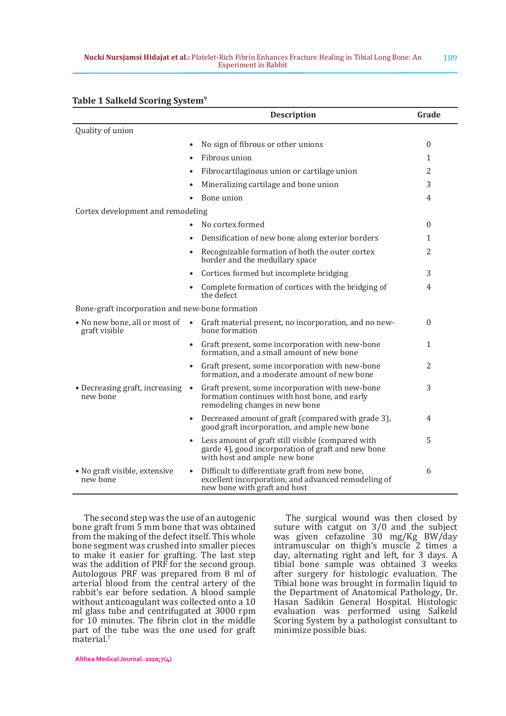|                                                 | <b>Description</b>                                                                                                                                   | Grade          |
|-------------------------------------------------|------------------------------------------------------------------------------------------------------------------------------------------------------|----------------|
| Quality of union                                |                                                                                                                                                      |                |
|                                                 | No sign of fibrous or other unions<br>$\bullet$                                                                                                      | $\mathbf{0}$   |
|                                                 | Fibrous union                                                                                                                                        | 1              |
|                                                 | Fibrocartilaginous union or cartilage union                                                                                                          | $\overline{2}$ |
|                                                 | Mineralizing cartilage and bone union<br>$\bullet$                                                                                                   | 3              |
|                                                 | Bone union                                                                                                                                           | 4              |
| Cortex development and remodeling               |                                                                                                                                                      |                |
|                                                 | No cortex formed<br>$\bullet$                                                                                                                        | $\mathbf{0}$   |
|                                                 | Densification of new bone along exterior borders                                                                                                     | 1              |
|                                                 | Recognizable formation of both the outer cortex<br>$\bullet$<br>border and the medullary space                                                       | 2              |
|                                                 | Cortices formed but incomplete bridging                                                                                                              | 3              |
|                                                 | Complete formation of cortices with the bridging of<br>$\bullet$<br>the defect                                                                       | $\overline{4}$ |
| Bone-graft incorporation and new-bone formation |                                                                                                                                                      |                |
| • No new bone, all or most of<br>graft visible  | Graft material present, no incorporation, and no new-<br>$\bullet$<br>hone formation                                                                 | $\mathbf{0}$   |
|                                                 | Graft present, some incorporation with new-bone<br>formation, and a small amount of new bone                                                         | 1              |
|                                                 | Graft present, some incorporation with new-bone<br>$\bullet$<br>formation, and a moderate amount of new bone                                         | $\overline{2}$ |
| • Decreasing graft, increasing<br>new bone      | Graft present, some incorporation with new-bone<br>$\bullet$<br>formation continues with host bone, and early<br>remodeling changes in new bone      | 3              |
|                                                 | Decreased amount of graft (compared with grade 3),<br>$\bullet$<br>good graft incorporation, and ample new bone                                      | 4              |
|                                                 | Less amount of graft still visible (compared with<br>$\bullet$<br>garde 4), good incorporation of graft and new bone<br>with host and ample new bone | 5              |
| • No graft visible, extensive<br>new bone       | Difficult to differentiate graft from new bone,<br>$\bullet$<br>excellent incorporation, and advanced remodeling of<br>new bone with graft and host  | 6              |

#### **Table 1 Salkeld Scoring System9**

The second step was the use of an autogenic bone graft from 5 mm bone that was obtained from the making of the defect itself. This whole bone segment was crushed into smaller pieces to make it easier for grafting. The last step was the addition of PRF for the second group. Autologous PRF was prepared from 8 ml of arterial blood from the central artery of the rabbit's ear before sedation. A blood sample without anticoagulant was collected onto a 10 ml glass tube and centrifugated at 3000 rpm for 10 minutes. The fibrin clot in the middle part of the tube was the one used for graft material.<sup>7</sup>

The surgical wound was then closed by suture with catgut on 3/0 and the subject was given cefazoline 30 mg/Kg BW/day intramuscular on thigh's muscle 2 times a day, alternating right and left, for 3 days. A tibial bone sample was obtained 3 weeks after surgery for histologic evaluation. The Tibial bone was brought in formalin liquid to the Department of Anatomical Pathology, Dr. Hasan Sadikin General Hospital. Histologic evaluation was performed using Salkeld Scoring System by a pathologist consultant to minimize possible bias.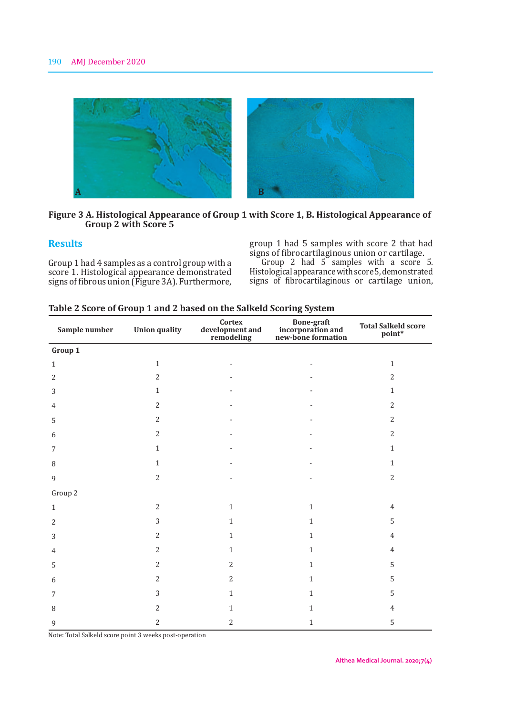

## **Figure 3 A. Histological Appearance of Group 1 with Score 1, B. Histological Appearance of Group 2 with Score 5**

### **Results**

Group 1 had 4 samples as a control group with a score 1. Histological appearance demonstrated signs of fibrous union (Figure 3A). Furthermore, group 1 had 5 samples with score 2 that had signs of fibrocartilaginous union or cartilage.

Group  $\angle$  had 5 samples with a score 5. Histological appearance with score 5, demonstrated signs of fibrocartilaginous or cartilage union,

| Sample number  | <b>Union quality</b> | Cortex<br>development and<br>remodeling | Bone-graft<br>incorporation and<br>new-bone formation | <b>Total Salkeld score</b><br>point* |
|----------------|----------------------|-----------------------------------------|-------------------------------------------------------|--------------------------------------|
| Group 1        |                      |                                         |                                                       |                                      |
| $\,1\,$        | $\mathbf{1}$         |                                         |                                                       | $\mathbf{1}$                         |
| $\overline{2}$ | $\overline{2}$       |                                         |                                                       | $\overline{2}$                       |
| 3              | $1\,$                |                                         |                                                       | $\mathbf{1}$                         |
| 4              | $\overline{2}$       |                                         |                                                       | $\overline{2}$                       |
| 5              | 2                    |                                         |                                                       | $\overline{2}$                       |
| 6              | 2                    |                                         |                                                       | $\overline{2}$                       |
| 7              | $1\,$                |                                         |                                                       | $\mathbf{1}$                         |
| 8              | $\mathbf{1}$         |                                         |                                                       | $\mathbf{1}$                         |
| 9              | $\overline{2}$       |                                         |                                                       | $\overline{2}$                       |
| Group 2        |                      |                                         |                                                       |                                      |
| $\mathbf{1}$   | $\overline{2}$       | $\mathbf{1}$                            | $\,1\,$                                               | $\overline{4}$                       |
| $\overline{2}$ | $\overline{3}$       | $\mathbf{1}$                            | $\mathbf{1}$                                          | 5                                    |
| 3              | $\overline{2}$       | $\mathbf{1}$                            | $\mathbf{1}$                                          | $\overline{4}$                       |
| 4              | $\overline{2}$       | $\mathbf{1}$                            | $\mathbf{1}$                                          | $\overline{4}$                       |
| 5              | $\overline{2}$       | $\overline{2}$                          | $\mathbf{1}$                                          | 5                                    |
| 6              | $\overline{2}$       | $\overline{2}$                          | $\mathbf{1}$                                          | $\mathsf S$                          |
| 7              | 3                    | $\mathbf{1}$                            | $\mathbf{1}$                                          | 5                                    |
| 8              | $\overline{2}$       | $\mathbf{1}$                            | $\mathbf{1}$                                          | $\overline{4}$                       |
| 9              | $\overline{2}$       | $\overline{2}$                          | $\mathbf{1}$                                          | 5                                    |

### **Table 2 Score of Group 1 and 2 based on the Salkeld Scoring System**

Note: Total Salkeld score point 3 weeks post-operation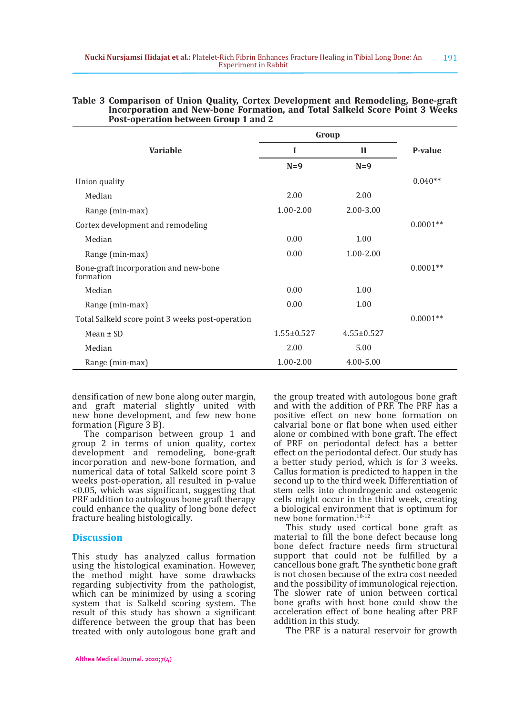|                                                    | Group            |                  |            |
|----------------------------------------------------|------------------|------------------|------------|
| <b>Variable</b>                                    | I                | H                | P-value    |
|                                                    | $N=9$            | $N=9$            |            |
| Union quality                                      |                  |                  | $0.040**$  |
| Median                                             | 2.00             | 2.00             |            |
| Range (min-max)                                    | 1.00-2.00        | 2.00-3.00        |            |
| Cortex development and remodeling                  | $0.0001**$       |                  |            |
| Median                                             | 0.00             | 1.00             |            |
| Range (min-max)                                    | 0.00             | $1.00 - 2.00$    |            |
| Bone-graft incorporation and new-bone<br>formation |                  |                  | $0.0001**$ |
| Median                                             | 0.00             | 1.00             |            |
| Range (min-max)                                    | 0.00             | 1.00             |            |
| Total Salkeld score point 3 weeks post-operation   |                  |                  | $0.0001**$ |
| Mean $\pm$ SD                                      | $1.55 \pm 0.527$ | $4.55 \pm 0.527$ |            |
| Median                                             | 2.00             | 5.00             |            |
| Range (min-max)                                    | $1.00 - 2.00$    | 4.00-5.00        |            |

#### **Table 3 Comparison of Union Quality, Cortex Development and Remodeling, Bone-graft Incorporation and New-bone Formation, and Total Salkeld Score Point 3 Weeks Post-operation between Group 1 and 2**

densification of new bone along outer margin, and graft material slightly united with new bone development, and few new bone formation (Figure 3 B).

The comparison between group 1 and group 2 in terms of union quality, cortex development and remodeling, bone-graft incorporation and new-bone formation, and numerical data of total Salkeld score point 3 weeks post-operation, all resulted in p-value <0.05, which was significant, suggesting that PRF addition to autologous bone graft therapy could enhance the quality of long bone defect fracture healing histologically.

# **Discussion**

This study has analyzed callus formation using the histological examination. However, the method might have some drawbacks regarding subjectivity from the pathologist, which can be minimized by using a scoring system that is Salkeld scoring system. The result of this study has shown a significant difference between the group that has been treated with only autologous bone graft and

the group treated with autologous bone graft and with the addition of PRF. The PRF has a positive effect on new bone formation on calvarial bone or flat bone when used either alone or combined with bone graft. The effect of PRF on periodontal defect has a better effect on the periodontal defect. Our study has a better study period, which is for 3 weeks. Callus formation is predicted to happen in the second up to the third week. Differentiation of stem cells into chondrogenic and osteogenic cells might occur in the third week, creating a biological environment that is optimum for new bone formation.10-12

This study used cortical bone graft as material to fill the bone defect because long bone defect fracture needs firm structural support that could not be fulfilled by a cancellous bone graft. The synthetic bone graft is not chosen because of the extra cost needed and the possibility of immunological rejection. The slower rate of union between cortical bone grafts with host bone could show the acceleration effect of bone healing after PRF addition in this study.

The PRF is a natural reservoir for growth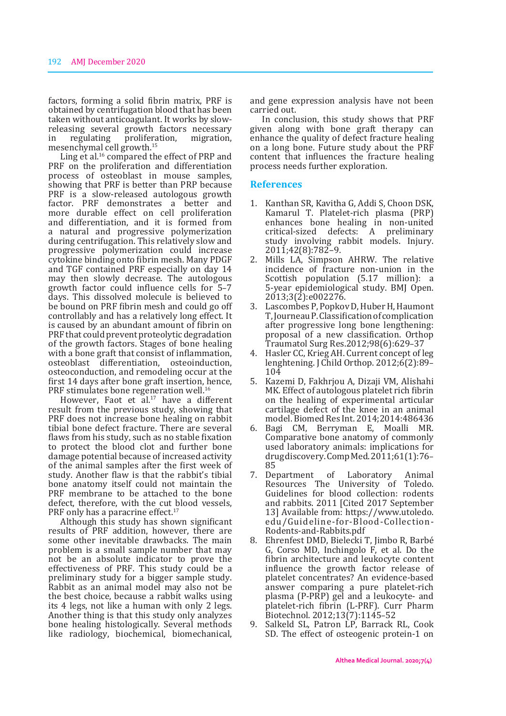factors, forming a solid fibrin matrix, PRF is obtained by centrifugation blood that has been taken without anticoagulant. It works by slowreleasing several growth factors necessary<br>in regulating proliferation, migration, in regulating proliferation, migration, mesenchymal cell growth.<sup>15</sup>

Ling et al.<sup>16</sup> compared the effect of PRP and PRF on the proliferation and differentiation process of osteoblast in mouse samples, showing that PRF is better than PRP because PRF is a slow-released autologous growth factor. PRF demonstrates a better and more durable effect on cell proliferation and differentiation, and it is formed from a natural and progressive polymerization during centrifugation. This relatively slow and progressive polymerization could increase cytokine binding onto fibrin mesh. Many PDGF and TGF contained PRF especially on day 14 may then slowly decrease. The autologous growth factor could influence cells for 5–7 days. This dissolved molecule is believed to be bound on PRF fibrin mesh and could go off controllably and has a relatively long effect. It is caused by an abundant amount of fibrin on PRF that could prevent proteolytic degradation of the growth factors. Stages of bone healing with a bone graft that consist of inflammation, osteoblast differentiation, osteoinduction, osteoconduction, and remodeling occur at the first 14 days after bone graft insertion, hence, PRF stimulates bone regeneration well.<sup>16</sup>

However, Faot et al.<sup>17</sup> have a different result from the previous study, showing that PRF does not increase bone healing on rabbit tibial bone defect fracture. There are several flaws from his study, such as no stable fixation to protect the blood clot and further bone damage potential because of increased activity of the animal samples after the first week of study. Another flaw is that the rabbit's tibial bone anatomy itself could not maintain the PRF membrane to be attached to the bone defect, therefore, with the cut blood vessels, PRF only has a paracrine effect.<sup>17</sup>

Although this study has shown significant results of PRF addition, however, there are some other inevitable drawbacks. The main problem is a small sample number that may not be an absolute indicator to prove the effectiveness of PRF. This study could be a preliminary study for a bigger sample study. Rabbit as an animal model may also not be the best choice, because a rabbit walks using its 4 legs, not like a human with only 2 legs. Another thing is that this study only analyzes bone healing histologically. Several methods like radiology, biochemical, biomechanical,

and gene expression analysis have not been carried out.

In conclusion, this study shows that PRF given along with bone graft therapy can enhance the quality of defect fracture healing on a long bone. Future study about the PRF content that influences the fracture healing process needs further exploration.

#### **References**

- 1. Kanthan SR, Kavitha G, Addi S, Choon DSK, Kamarul T. Platelet-rich plasma (PRP) enhances bone healing in non-united<br>critical-sized defects: A preliminary defects: A preliminary study involving rabbit models. Injury. 2011;42(8):782–9.
- 2. Mills LA, Simpson AHRW. The relative incidence of fracture non-union in the Scottish population (5.17 million): a 5-year epidemiological study. BMJ Open. 2013;3(2):e002276.
- 3. Lascombes P, Popkov D, Huber H, Haumont T, Journeau P. Classification of complication after progressive long bone lengthening: proposal of a new classification. Orthop Traumatol Surg Res.2012;98(6):629–37
- 4. Hasler CC, Krieg AH. Current concept of leg lenghtening. J Child Orthop. 2012;6(2):89– 104
- 5. Kazemi D, Fakhrjou A, Dizaji VM, Alishahi MK. Effect of autologous platelet rich fibrin on the healing of experimental articular cartilage defect of the knee in an animal model. Biomed Res Int. 2014;2014:486436
- 6. Bagi CM, Berryman E, Moalli MR. Comparative bone anatomy of commonly used laboratory animals: implications for drug discovery. Comp Med. 2011;61(1):76– 85
- 7. Department of Laboratory Animal Resources The University of Toledo. Guidelines for blood collection: rodents and rabbits. 2011 [Cited 2017 September 13] Available from: https://www.utoledo. edu/Guideline-for-Blood-Collection-Rodents-and-Rabbits.pdf
- 8. Ehrenfest DMD, Bielecki T, Jimbo R, Barbé G, Corso MD, Inchingolo F, et al. Do the fibrin architecture and leukocyte content influence the growth factor release of platelet concentrates? An evidence-based answer comparing a pure platelet-rich plasma (P-PRP) gel and a leukocyte- and platelet-rich fibrin (L-PRF). Curr Pharm Biotechnol. 2012;13(7):1145–52
- 9. Salkeld SL, Patron LP, Barrack RL, Cook SD. The effect of osteogenic protein-1 on